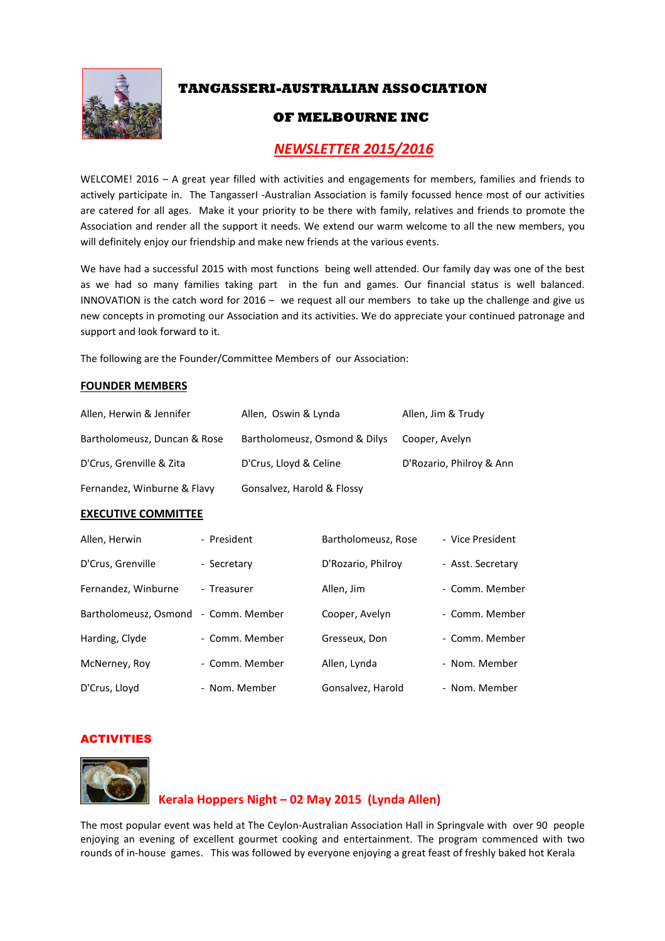

# **TANGASSERI-AUSTRALIAN ASSOCIATION**

# **OF MELBOURNE INC**

# *NEWSLETTER 2015/2016*

WELCOME! 2016 - A great year filled with activities and engagements for members, families and friends to actively participate in. The TangasserI -Australian Association is family focussed hence most of our activities are catered for all ages. Make it your priority to be there with family, relatives and friends to promote the Association and render all the support it needs. We extend our warm welcome to all the new members, you will definitely enjoy our friendship and make new friends at the various events.

We have had a successful 2015 with most functions being well attended. Our family day was one of the best as we had so many families taking part in the fun and games. Our financial status is well balanced. INNOVATION is the catch word for  $2016 -$  we request all our members to take up the challenge and give us new concepts in promoting our Association and its activities. We do appreciate your continued patronage and support and look forward to it.

The following are the Founder/Committee Members of our Association:

### **FOUNDER MEMBERS**

| Allen, Herwin & Jennifer     | Allen, Oswin & Lynda          | Allen, Jim & Trudy       |
|------------------------------|-------------------------------|--------------------------|
| Bartholomeusz, Duncan & Rose | Bartholomeusz, Osmond & Dilys | Cooper, Avelyn           |
| D'Crus, Grenville & Zita     | D'Crus, Lloyd & Celine        | D'Rozario, Philroy & Ann |
| Fernandez, Winburne & Flavy  | Gonsalvez, Harold & Flossy    |                          |

#### **EXECUTIVE COMMITTEE**

| Allen, Herwin         | - President    | Bartholomeusz, Rose | - Vice President  |
|-----------------------|----------------|---------------------|-------------------|
| D'Crus, Grenville     | - Secretary    | D'Rozario, Philroy  | - Asst. Secretary |
| Fernandez, Winburne   | - Treasurer    | Allen, Jim          | - Comm. Member    |
| Bartholomeusz, Osmond | - Comm. Member | Cooper, Avelyn      | - Comm. Member    |
| Harding, Clyde        | - Comm. Member | Gresseux, Don       | - Comm. Member    |
| McNerney, Roy         | - Comm. Member | Allen, Lynda        | - Nom. Member     |
| D'Crus, Lloyd         | - Nom. Member  | Gonsalvez, Harold   | - Nom. Member     |

### ACTIVITIES



### **Kerala Hoppers Night – 02 May 2015 (Lynda Allen)**

The most popular event was held at The Ceylon-Australian Association Hall in Springvale with over 90 people enjoying an evening of excellent gourmet cooking and entertainment. The program commenced with two rounds of in-house games. This was followed by everyone enjoying a great feast of freshly baked hot Kerala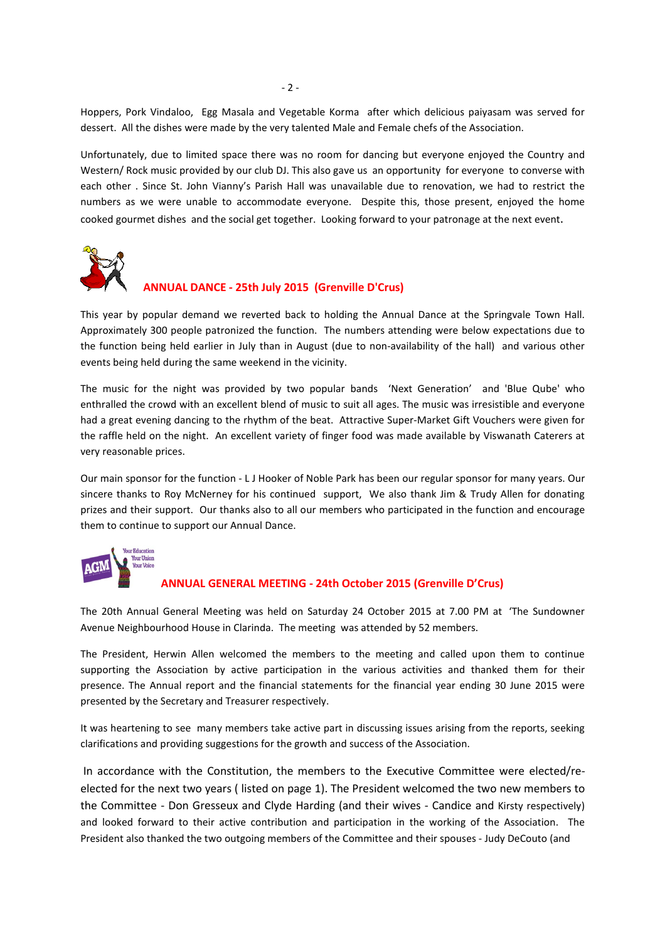Hoppers, Pork Vindaloo, Egg Masala and Vegetable Korma after which delicious paiyasam was served for dessert. All the dishes were made by the very talented Male and Female chefs of the Association.

Unfortunately, due to limited space there was no room for dancing but everyone enjoyed the Country and Western/ Rock music provided by our club DJ. This also gave us an opportunity for everyone to converse with each other . Since St. John Vianny's Parish Hall was unavailable due to renovation, we had to restrict the numbers as we were unable to accommodate everyone. Despite this, those present, enjoyed the home cooked gourmet dishes and the social get together. Looking forward to your patronage at the next event.



### **ANNUAL DANCE - 25th July 2015 (Grenville D'Crus)**

This year by popular demand we reverted back to holding the Annual Dance at the Springvale Town Hall. Approximately 300 people patronized the function. The numbers attending were below expectations due to the function being held earlier in July than in August (due to non-availability of the hall) and various other events being held during the same weekend in the vicinity.

The music for the night was provided by two popular bands 'Next Generation' and 'Blue Qube' who enthralled the crowd with an excellent blend of music to suit all ages. The music was irresistible and everyone had a great evening dancing to the rhythm of the beat. Attractive Super-Market Gift Vouchers were given for the raffle held on the night. An excellent variety of finger food was made available by Viswanath Caterers at very reasonable prices.

Our main sponsor for the function - L J Hooker of Noble Park has been our regular sponsor for many years. Our sincere thanks to Roy McNerney for his continued support, We also thank Jim & Trudy Allen for donating prizes and their support. Our thanks also to all our members who participated in the function and encourage them to continue to support our Annual Dance.



#### **ANNUAL GENERAL MEETING - 24th October 2015 (Grenville D'Crus)**

The 20th Annual General Meeting was held on Saturday 24 October 2015 at 7.00 PM at 'The Sundowner Avenue Neighbourhood House in Clarinda. The meeting was attended by 52 members.

The President, Herwin Allen welcomed the members to the meeting and called upon them to continue supporting the Association by active participation in the various activities and thanked them for their presence. The Annual report and the financial statements for the financial year ending 30 June 2015 were presented by the Secretary and Treasurer respectively.

It was heartening to see many members take active part in discussing issues arising from the reports, seeking clarifications and providing suggestions for the growth and success of the Association.

 In accordance with the Constitution, the members to the Executive Committee were elected/reelected for the next two years ( listed on page 1). The President welcomed the two new members to the Committee - Don Gresseux and Clyde Harding (and their wives - Candice and Kirsty respectively) and looked forward to their active contribution and participation in the working of the Association. The President also thanked the two outgoing members of the Committee and their spouses - Judy DeCouto (and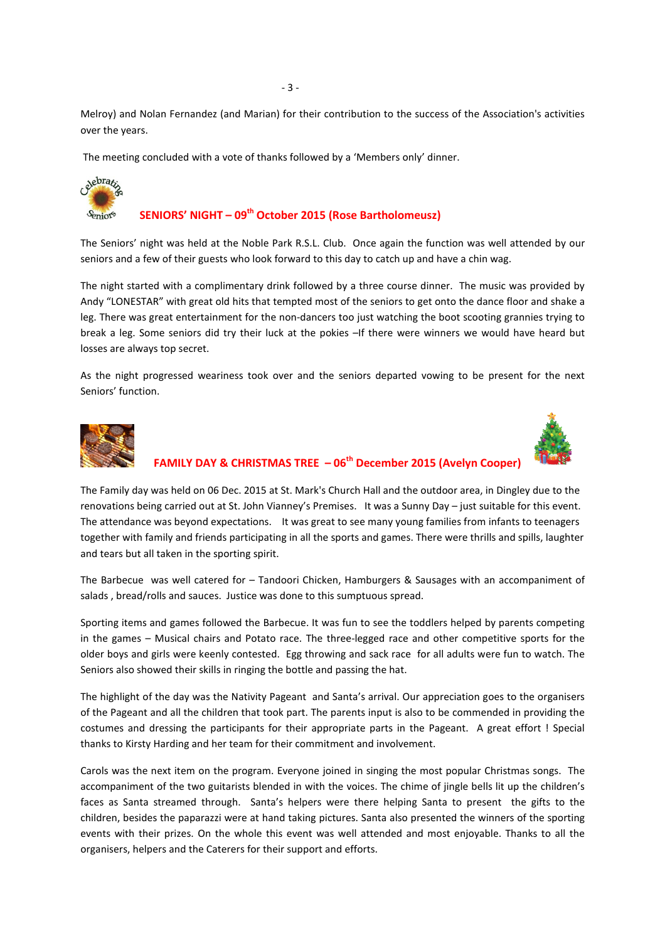Melroy) and Nolan Fernandez (and Marian) for their contribution to the success of the Association's activities over the years.

The meeting concluded with a vote of thanks followed by a 'Members only' dinner.



### **SENIORS' NIGHT – 09th October 2015 (Rose Bartholomeusz)**

The Seniors' night was held at the Noble Park R.S.L. Club. Once again the function was well attended by our seniors and a few of their guests who look forward to this day to catch up and have a chin wag.

The night started with a complimentary drink followed by a three course dinner. The music was provided by Andy "LONESTAR" with great old hits that tempted most of the seniors to get onto the dance floor and shake a leg. There was great entertainment for the non-dancers too just watching the boot scooting grannies trying to break a leg. Some seniors did try their luck at the pokies –If there were winners we would have heard but losses are always top secret.

As the night progressed weariness took over and the seniors departed vowing to be present for the next Seniors' function.





## **FAMILY DAY & CHRISTMAS TREE – 06th December 2015 (Avelyn Cooper)**

The Family day was held on 06 Dec. 2015 at St. Mark's Church Hall and the outdoor area, in Dingley due to the renovations being carried out at St. John Vianney's Premises. It was a Sunny Day – just suitable for this event. The attendance was beyond expectations. It was great to see many young families from infants to teenagers together with family and friends participating in all the sports and games. There were thrills and spills, laughter and tears but all taken in the sporting spirit.

The Barbecue was well catered for – Tandoori Chicken, Hamburgers & Sausages with an accompaniment of salads , bread/rolls and sauces. Justice was done to this sumptuous spread.

Sporting items and games followed the Barbecue. It was fun to see the toddlers helped by parents competing in the games – Musical chairs and Potato race. The three-legged race and other competitive sports for the older boys and girls were keenly contested. Egg throwing and sack race for all adults were fun to watch. The Seniors also showed their skills in ringing the bottle and passing the hat.

The highlight of the day was the Nativity Pageant and Santa's arrival. Our appreciation goes to the organisers of the Pageant and all the children that took part. The parents input is also to be commended in providing the costumes and dressing the participants for their appropriate parts in the Pageant. A great effort ! Special thanks to Kirsty Harding and her team for their commitment and involvement.

Carols was the next item on the program. Everyone joined in singing the most popular Christmas songs. The accompaniment of the two guitarists blended in with the voices. The chime of jingle bells lit up the children's faces as Santa streamed through. Santa's helpers were there helping Santa to present the gifts to the children, besides the paparazzi were at hand taking pictures. Santa also presented the winners of the sporting events with their prizes. On the whole this event was well attended and most enjoyable. Thanks to all the organisers, helpers and the Caterers for their support and efforts.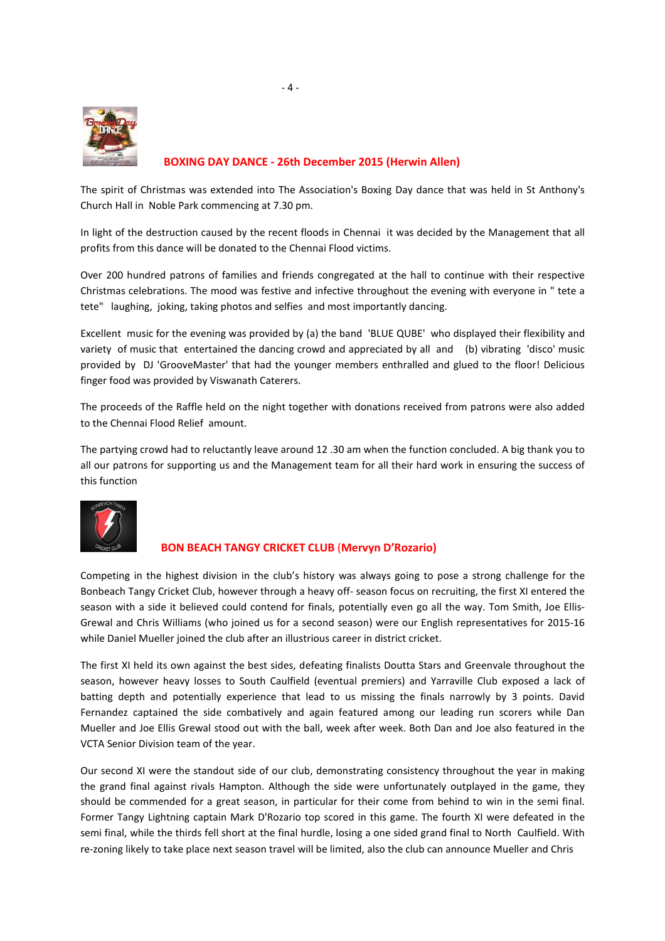

### **BOXING DAY DANCE - 26th December 2015 (Herwin Allen)**

The spirit of Christmas was extended into The Association's Boxing Day dance that was held in St Anthony's Church Hall in Noble Park commencing at 7.30 pm.

In light of the destruction caused by the recent floods in Chennai it was decided by the Management that all profits from this dance will be donated to the Chennai Flood victims.

Over 200 hundred patrons of families and friends congregated at the hall to continue with their respective Christmas celebrations. The mood was festive and infective throughout the evening with everyone in " tete a tete" laughing, joking, taking photos and selfies and most importantly dancing.

Excellent music for the evening was provided by (a) the band 'BLUE QUBE' who displayed their flexibility and variety of music that entertained the dancing crowd and appreciated by all and (b) vibrating 'disco' music provided by DJ 'GrooveMaster' that had the younger members enthralled and glued to the floor! Delicious finger food was provided by Viswanath Caterers.

The proceeds of the Raffle held on the night together with donations received from patrons were also added to the Chennai Flood Relief amount.

The partying crowd had to reluctantly leave around 12 .30 am when the function concluded. A big thank you to all our patrons for supporting us and the Management team for all their hard work in ensuring the success of this function



### **BON BEACH TANGY CRICKET CLUB** (**Mervyn D'Rozario)**

Competing in the highest division in the club's history was always going to pose a strong challenge for the Bonbeach Tangy Cricket Club, however through a heavy off- season focus on recruiting, the first XI entered the season with a side it believed could contend for finals, potentially even go all the way. Tom Smith, Joe Ellis-Grewal and Chris Williams (who joined us for a second season) were our English representatives for 2015-16 while Daniel Mueller joined the club after an illustrious career in district cricket.

The first XI held its own against the best sides, defeating finalists Doutta Stars and Greenvale throughout the season, however heavy losses to South Caulfield (eventual premiers) and Yarraville Club exposed a lack of batting depth and potentially experience that lead to us missing the finals narrowly by 3 points. David Fernandez captained the side combatively and again featured among our leading run scorers while Dan Mueller and Joe Ellis Grewal stood out with the ball, week after week. Both Dan and Joe also featured in the VCTA Senior Division team of the year.

Our second XI were the standout side of our club, demonstrating consistency throughout the year in making the grand final against rivals Hampton. Although the side were unfortunately outplayed in the game, they should be commended for a great season, in particular for their come from behind to win in the semi final. Former Tangy Lightning captain Mark D'Rozario top scored in this game. The fourth XI were defeated in the semi final, while the thirds fell short at the final hurdle, losing a one sided grand final to North Caulfield. With re-zoning likely to take place next season travel will be limited, also the club can announce Mueller and Chris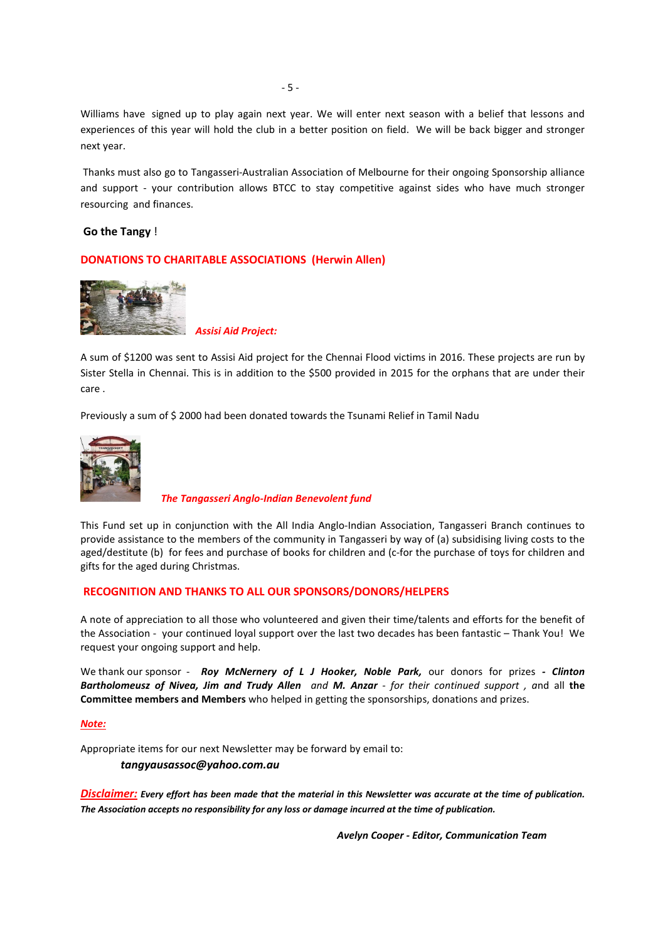Williams have signed up to play again next year. We will enter next season with a belief that lessons and experiences of this year will hold the club in a better position on field. We will be back bigger and stronger next year.

 Thanks must also go to Tangasseri-Australian Association of Melbourne for their ongoing Sponsorship alliance and support - your contribution allows BTCC to stay competitive against sides who have much stronger resourcing and finances.

#### **Go the Tangy** !

### **DONATIONS TO CHARITABLE ASSOCIATIONS (Herwin Allen)**



*Assisi Aid Project:* 

A sum of \$1200 was sent to Assisi Aid project for the Chennai Flood victims in 2016. These projects are run by Sister Stella in Chennai. This is in addition to the \$500 provided in 2015 for the orphans that are under their care .

Previously a sum of \$ 2000 had been donated towards the Tsunami Relief in Tamil Nadu



*The Tangasseri Anglo-Indian Benevolent fund*

This Fund set up in conjunction with the All India Anglo-Indian Association, Tangasseri Branch continues to provide assistance to the members of the community in Tangasseri by way of (a) subsidising living costs to the aged/destitute (b) for fees and purchase of books for children and (c-for the purchase of toys for children and gifts for the aged during Christmas.

### **RECOGNITION AND THANKS TO ALL OUR SPONSORS/DONORS/HELPERS**

A note of appreciation to all those who volunteered and given their time/talents and efforts for the benefit of the Association - your continued loyal support over the last two decades has been fantastic – Thank You! We request your ongoing support and help.

We thank our sponsor - *Roy McNernery of L J Hooker, Noble Park,* our donors for prizes *- Clinton Bartholomeusz of Nivea, Jim and Trudy Allen and M. Anzar - for their continued support , a*nd all **the Committee members and Members** who helped in getting the sponsorships, donations and prizes.

#### *Note:*

Appropriate items for our next Newsletter may be forward by email to:

#### *tangyausassoc@yahoo.com.au*

*Disclaimer: Every effort has been made that the material in this Newsletter was accurate at the time of publication. The Association accepts no responsibility for any loss or damage incurred at the time of publication.* 

 *Avelyn Cooper - Editor, Communication Team*